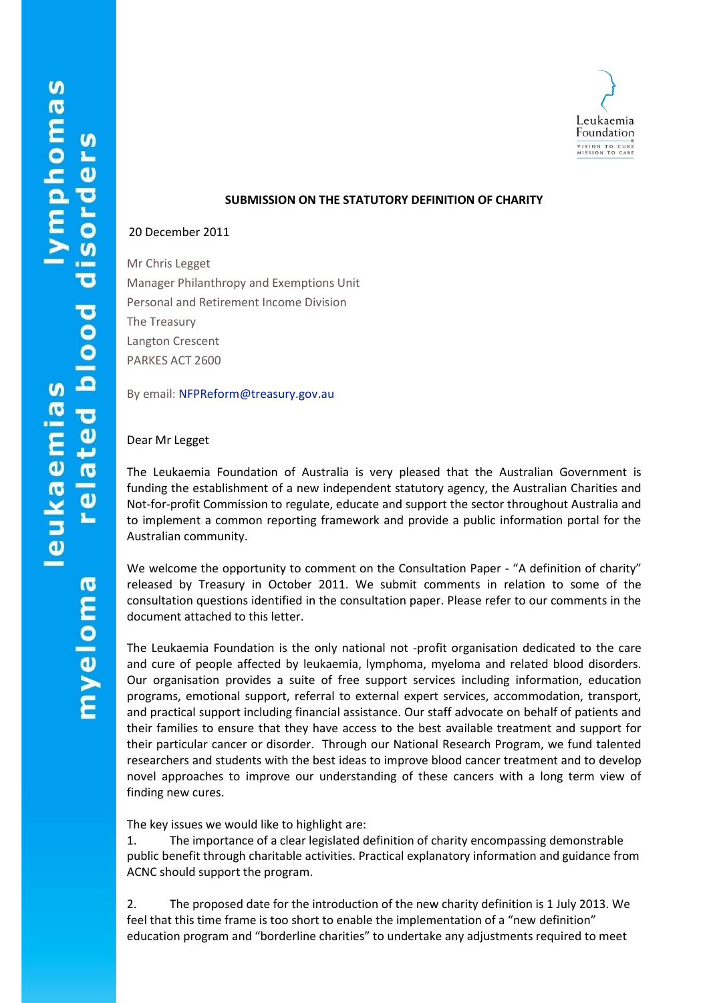

# **SUBMISSION ON THE STATUTORY DEFINITION OF CHARITY**

## 20 December 2011

Mr Chris Legget Manager Philanthropy and Exemptions Unit Personal and Retirement Income Division The Treasury Langton Crescent PARKES ACT 2600

By email: [NFPReform@treasury.gov.au](mailto:NFPReform@treasury.gov.au)

### Dear Mr Legget

The Leukaemia Foundation of Australia is very pleased that the Australian Government is funding the establishment of a new independent statutory agency, the Australian Charities and Not-for-profit Commission to regulate, educate and support the sector throughout Australia and to implement a common reporting framework and provide a public information portal for the Australian community.

We welcome the opportunity to comment on the Consultation Paper - "A definition of charity" released by Treasury in October 2011. We submit comments in relation to some of the consultation questions identified in the consultation paper. Please refer to our comments in the document attached to this letter.

The Leukaemia Foundation is the only national not -profit organisation dedicated to the care and cure of people affected by leukaemia, lymphoma, myeloma and related blood disorders. Our organisation provides a suite of free support services including information, education programs, emotional support, referral to external expert services, accommodation, transport, and practical support including financial assistance. Our staff advocate on behalf of patients and their families to ensure that they have access to the best available treatment and support for their particular cancer or disorder. Through our National Research Program, we fund talented researchers and students with the best ideas to improve blood cancer treatment and to develop novel approaches to improve our understanding of these cancers with a long term view of finding new cures.

The key issues we would like to highlight are:

1. The importance of a clear legislated definition of charity encompassing demonstrable public benefit through charitable activities. Practical explanatory information and guidance from ACNC should support the program.

2. The proposed date for the introduction of the new charity definition is 1 July 2013. We feel that this time frame is too short to enable the implementation of a "new definition" education program and "borderline charities" to undertake any adjustments required to meet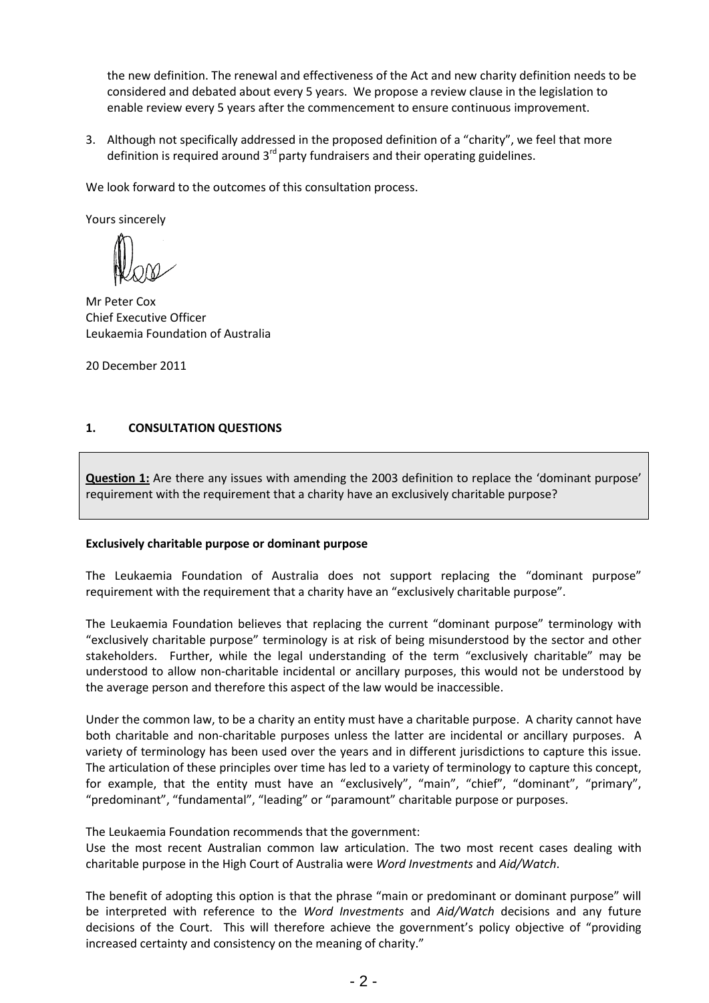the new definition. The renewal and effectiveness of the Act and new charity definition needs to be considered and debated about every 5 years. We propose a review clause in the legislation to enable review every 5 years after the commencement to ensure continuous improvement.

3. Although not specifically addressed in the proposed definition of a "charity", we feel that more definition is required around  $3<sup>rd</sup>$  party fundraisers and their operating guidelines.

We look forward to the outcomes of this consultation process.

Yours sincerely

Mr Peter Cox Chief Executive Officer Leukaemia Foundation of Australia

20 December 2011

# **1. CONSULTATION QUESTIONS**

**Question 1:** Are there any issues with amending the 2003 definition to replace the 'dominant purpose' requirement with the requirement that a charity have an exclusively charitable purpose?

# **Exclusively charitable purpose or dominant purpose**

The Leukaemia Foundation of Australia does not support replacing the "dominant purpose" requirement with the requirement that a charity have an "exclusively charitable purpose".

The Leukaemia Foundation believes that replacing the current "dominant purpose" terminology with "exclusively charitable purpose" terminology is at risk of being misunderstood by the sector and other stakeholders. Further, while the legal understanding of the term "exclusively charitable" may be understood to allow non-charitable incidental or ancillary purposes, this would not be understood by the average person and therefore this aspect of the law would be inaccessible.

Under the common law, to be a charity an entity must have a charitable purpose. A charity cannot have both charitable and non-charitable purposes unless the latter are incidental or ancillary purposes. A variety of terminology has been used over the years and in different jurisdictions to capture this issue. The articulation of these principles over time has led to a variety of terminology to capture this concept, for example, that the entity must have an "exclusively", "main", "chief", "dominant", "primary", "predominant", "fundamental", "leading" or "paramount" charitable purpose or purposes.

The Leukaemia Foundation recommends that the government:

Use the most recent Australian common law articulation. The two most recent cases dealing with charitable purpose in the High Court of Australia were *Word Investments* and *Aid/Watch*.

The benefit of adopting this option is that the phrase "main or predominant or dominant purpose" will be interpreted with reference to the *Word Investments* and *Aid/Watch* decisions and any future decisions of the Court. This will therefore achieve the government's policy objective of "providing increased certainty and consistency on the meaning of charity."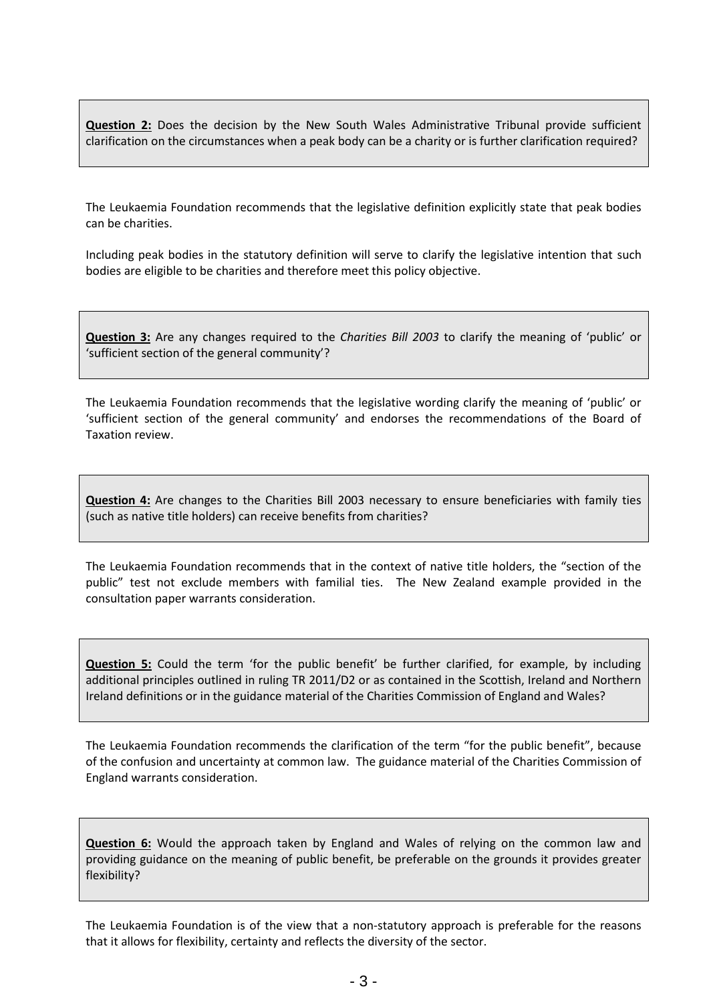**Question 2:** Does the decision by the New South Wales Administrative Tribunal provide sufficient clarification on the circumstances when a peak body can be a charity or is further clarification required?

The Leukaemia Foundation recommends that the legislative definition explicitly state that peak bodies can be charities.

Including peak bodies in the statutory definition will serve to clarify the legislative intention that such bodies are eligible to be charities and therefore meet this policy objective.

**Question 3:** Are any changes required to the *Charities Bill 2003* to clarify the meaning of 'public' or 'sufficient section of the general community'?

The Leukaemia Foundation recommends that the legislative wording clarify the meaning of 'public' or 'sufficient section of the general community' and endorses the recommendations of the Board of Taxation review.

**Question 4:** Are changes to the Charities Bill 2003 necessary to ensure beneficiaries with family ties (such as native title holders) can receive benefits from charities?

The Leukaemia Foundation recommends that in the context of native title holders, the "section of the public" test not exclude members with familial ties. The New Zealand example provided in the consultation paper warrants consideration.

**Question 5:** Could the term 'for the public benefit' be further clarified, for example, by including additional principles outlined in ruling TR 2011/D2 or as contained in the Scottish, Ireland and Northern Ireland definitions or in the guidance material of the Charities Commission of England and Wales?

The Leukaemia Foundation recommends the clarification of the term "for the public benefit", because of the confusion and uncertainty at common law. The guidance material of the Charities Commission of England warrants consideration.

**Question 6:** Would the approach taken by England and Wales of relying on the common law and providing guidance on the meaning of public benefit, be preferable on the grounds it provides greater flexibility?

The Leukaemia Foundation is of the view that a non-statutory approach is preferable for the reasons that it allows for flexibility, certainty and reflects the diversity of the sector.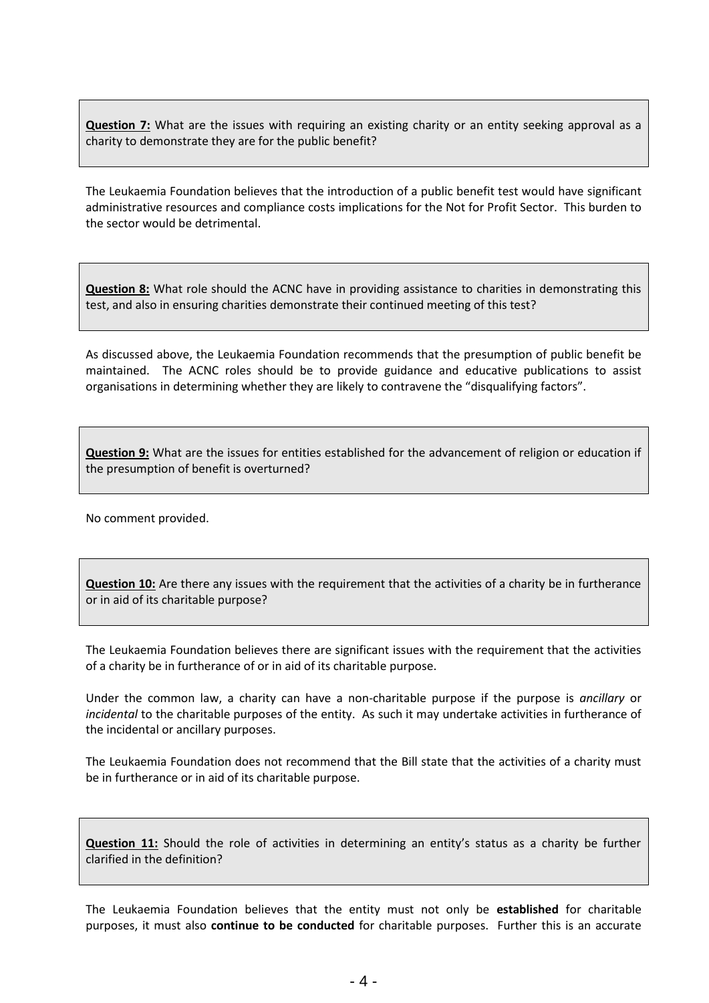**Question 7:** What are the issues with requiring an existing charity or an entity seeking approval as a charity to demonstrate they are for the public benefit?

The Leukaemia Foundation believes that the introduction of a public benefit test would have significant administrative resources and compliance costs implications for the Not for Profit Sector. This burden to the sector would be detrimental.

**Question 8:** What role should the ACNC have in providing assistance to charities in demonstrating this test, and also in ensuring charities demonstrate their continued meeting of this test?

As discussed above, the Leukaemia Foundation recommends that the presumption of public benefit be maintained. The ACNC roles should be to provide guidance and educative publications to assist organisations in determining whether they are likely to contravene the "disqualifying factors".

**Question 9:** What are the issues for entities established for the advancement of religion or education if the presumption of benefit is overturned?

No comment provided.

**Question 10:** Are there any issues with the requirement that the activities of a charity be in furtherance or in aid of its charitable purpose?

The Leukaemia Foundation believes there are significant issues with the requirement that the activities of a charity be in furtherance of or in aid of its charitable purpose.

Under the common law, a charity can have a non-charitable purpose if the purpose is *ancillary* or *incidental* to the charitable purposes of the entity. As such it may undertake activities in furtherance of the incidental or ancillary purposes.

The Leukaemia Foundation does not recommend that the Bill state that the activities of a charity must be in furtherance or in aid of its charitable purpose.

**Question 11:** Should the role of activities in determining an entity's status as a charity be further clarified in the definition?

The Leukaemia Foundation believes that the entity must not only be **established** for charitable purposes, it must also **continue to be conducted** for charitable purposes. Further this is an accurate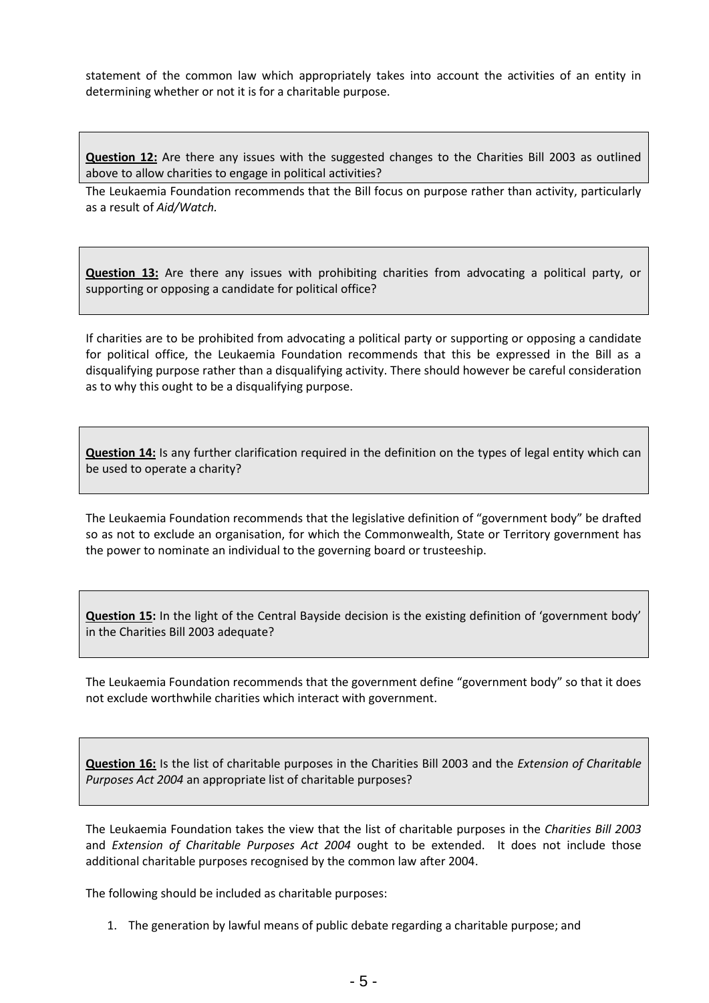statement of the common law which appropriately takes into account the activities of an entity in determining whether or not it is for a charitable purpose.

**Question 12:** Are there any issues with the suggested changes to the Charities Bill 2003 as outlined above to allow charities to engage in political activities?

The Leukaemia Foundation recommends that the Bill focus on purpose rather than activity, particularly as a result of *Aid/Watch.*

**Question 13:** Are there any issues with prohibiting charities from advocating a political party, or supporting or opposing a candidate for political office?

If charities are to be prohibited from advocating a political party or supporting or opposing a candidate for political office, the Leukaemia Foundation recommends that this be expressed in the Bill as a disqualifying purpose rather than a disqualifying activity. There should however be careful consideration as to why this ought to be a disqualifying purpose.

**Question 14:** Is any further clarification required in the definition on the types of legal entity which can be used to operate a charity?

The Leukaemia Foundation recommends that the legislative definition of "government body" be drafted so as not to exclude an organisation, for which the Commonwealth, State or Territory government has the power to nominate an individual to the governing board or trusteeship.

**Question 15:** In the light of the Central Bayside decision is the existing definition of 'government body' in the Charities Bill 2003 adequate?

The Leukaemia Foundation recommends that the government define "government body" so that it does not exclude worthwhile charities which interact with government.

**Question 16:** Is the list of charitable purposes in the Charities Bill 2003 and the *Extension of Charitable Purposes Act 2004* an appropriate list of charitable purposes?

The Leukaemia Foundation takes the view that the list of charitable purposes in the *Charities Bill 2003*  and *Extension of Charitable Purposes Act 2004* ought to be extended. It does not include those additional charitable purposes recognised by the common law after 2004.

The following should be included as charitable purposes:

1. The generation by lawful means of public debate regarding a charitable purpose; and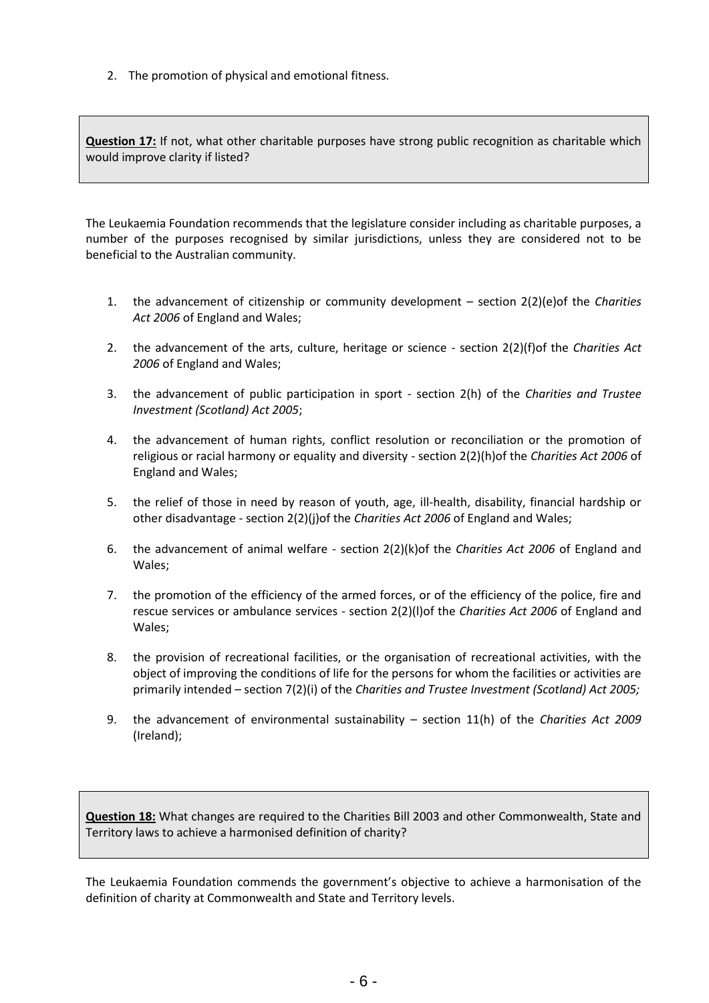2. The promotion of physical and emotional fitness.

**Question 17:** If not, what other charitable purposes have strong public recognition as charitable which would improve clarity if listed?

The Leukaemia Foundation recommends that the legislature consider including as charitable purposes, a number of the purposes recognised by similar jurisdictions, unless they are considered not to be beneficial to the Australian community.

- 1. the advancement of citizenship or community development section 2(2)(e)of the *Charities Act 2006* of England and Wales;
- 2. the advancement of the arts, culture, heritage or science section 2(2)(f)of the *Charities Act 2006* of England and Wales;
- 3. the advancement of public participation in sport section 2(h) of the *Charities and Trustee Investment (Scotland) Act 2005*;
- 4. the advancement of human rights, conflict resolution or reconciliation or the promotion of religious or racial harmony or equality and diversity - section 2(2)(h)of the *Charities Act 2006* of England and Wales;
- 5. the relief of those in need by reason of youth, age, ill-health, disability, financial hardship or other disadvantage - section 2(2)(j)of the *Charities Act 2006* of England and Wales;
- 6. the advancement of animal welfare section 2(2)(k)of the *Charities Act 2006* of England and Wales;
- 7. the promotion of the efficiency of the armed forces, or of the efficiency of the police, fire and rescue services or ambulance services - section 2(2)(l)of the *Charities Act 2006* of England and Wales;
- 8. the provision of recreational facilities, or the organisation of recreational activities, with the object of improving the conditions of life for the persons for whom the facilities or activities are primarily intended – section 7(2)(i) of the *Charities and Trustee Investment (Scotland) Act 2005;*
- 9. the advancement of environmental sustainability section 11(h) of the *Charities Act 2009* (Ireland);

**Question 18:** What changes are required to the Charities Bill 2003 and other Commonwealth, State and Territory laws to achieve a harmonised definition of charity?

The Leukaemia Foundation commends the government's objective to achieve a harmonisation of the definition of charity at Commonwealth and State and Territory levels.